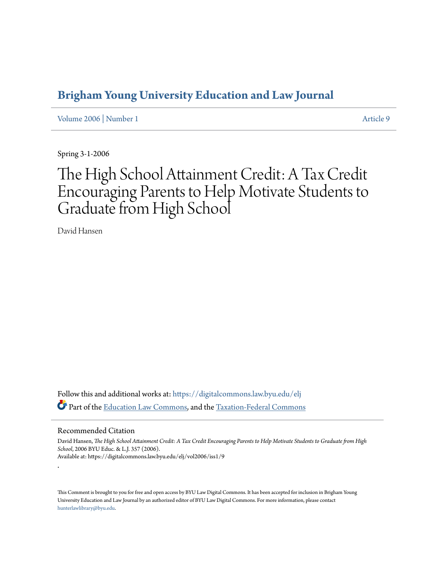## **[Brigham Young University Education and Law Journal](https://digitalcommons.law.byu.edu/elj?utm_source=digitalcommons.law.byu.edu%2Felj%2Fvol2006%2Fiss1%2F9&utm_medium=PDF&utm_campaign=PDFCoverPages)**

[Volume 2006](https://digitalcommons.law.byu.edu/elj/vol2006?utm_source=digitalcommons.law.byu.edu%2Felj%2Fvol2006%2Fiss1%2F9&utm_medium=PDF&utm_campaign=PDFCoverPages) | [Number 1](https://digitalcommons.law.byu.edu/elj/vol2006/iss1?utm_source=digitalcommons.law.byu.edu%2Felj%2Fvol2006%2Fiss1%2F9&utm_medium=PDF&utm_campaign=PDFCoverPages) [Article 9](https://digitalcommons.law.byu.edu/elj/vol2006/iss1/9?utm_source=digitalcommons.law.byu.edu%2Felj%2Fvol2006%2Fiss1%2F9&utm_medium=PDF&utm_campaign=PDFCoverPages)

Spring 3-1-2006

# The High School Attainment Credit: A Tax Credit Encouraging Parents to Help Motivate Students to Graduate from High School

David Hansen

Follow this and additional works at: [https://digitalcommons.law.byu.edu/elj](https://digitalcommons.law.byu.edu/elj?utm_source=digitalcommons.law.byu.edu%2Felj%2Fvol2006%2Fiss1%2F9&utm_medium=PDF&utm_campaign=PDFCoverPages) Part of the [Education Law Commons](http://network.bepress.com/hgg/discipline/596?utm_source=digitalcommons.law.byu.edu%2Felj%2Fvol2006%2Fiss1%2F9&utm_medium=PDF&utm_campaign=PDFCoverPages), and the [Taxation-Federal Commons](http://network.bepress.com/hgg/discipline/881?utm_source=digitalcommons.law.byu.edu%2Felj%2Fvol2006%2Fiss1%2F9&utm_medium=PDF&utm_campaign=PDFCoverPages)

#### Recommended Citation

.

David Hansen, *The High School Attainment Credit: A Tax Credit Encouraging Parents to Help Motivate Students to Graduate from High School*, 2006 BYU Educ. & L.J. 357 (2006). Available at: https://digitalcommons.law.byu.edu/elj/vol2006/iss1/9

This Comment is brought to you for free and open access by BYU Law Digital Commons. It has been accepted for inclusion in Brigham Young University Education and Law Journal by an authorized editor of BYU Law Digital Commons. For more information, please contact [hunterlawlibrary@byu.edu.](mailto:hunterlawlibrary@byu.edu)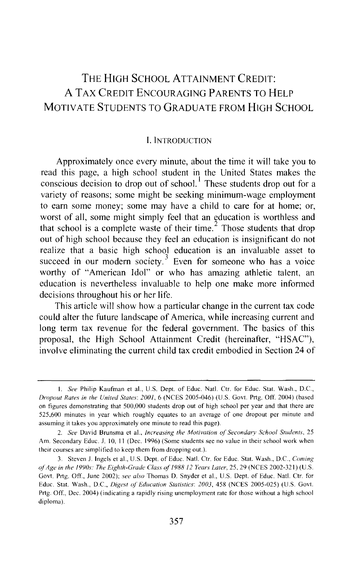### THE HIGH SCHOOL ATTAINMENT CREDIT: AT AX CREDIT ENCOURAGING PARENTS TO HELP MOTIVATE STUDENTS TO GRADUATE FROM HIGH SCHOOL

#### I. INTRODUCTION

Approximately once every minute, about the time it will take you to read this page, a high school student in the United States makes the conscious decision to drop out of school.<sup>1</sup> These students drop out for a variety of reasons; some might be seeking minimum-wage employment to earn some money; some may have a child to care for at home; or, worst of all, some might simply feel that an education is worthless and that school is a complete waste of their time.<sup>2</sup> Those students that drop out of high school because they feel an education is insignificant do not realize that a basic high school education is an invaluable asset to succeed in our modern society.<sup>3</sup> Even for someone who has a voice worthy of "American Idol" or who has amazing athletic talent, an education is nevertheless invaluable to help one make more informed decisions throughout his or her life.

This article will show how a particular change in the current tax code could alter the future landscape of America, while increasing current and long term tax revenue for the federal government. The basics of this proposal, the High School Attainment Credit (hereinafter, "HSAC"), involve eliminating the current child tax credit embodied in Section 24 of

I. *See* Philip Kaufman et al., U.S. Dept. of Educ. Nat!. Ctr. for Educ. Stat. Wash., D.C., *Dropout Rates in the United Stutes: 200/,* 6 (NCES 2005-046) (U.S. Govt. Prtg. Off. 2004) (based on figures demonstrating that 500,000 students drop out of high school per year and that there arc 525,600 minutes in year which roughly equates to an average of one dropout per minute and assuming it takes you approximately one minute to read this page).

<sup>2.</sup> *See* David Brunsma et al., *Increasing the Motivation ol Secondary School Students,* 25 Am. Secondary Educ. J. 10, 11 (Dec. 1996) (Some students see no value in their school work when their courses are simplified to keep them from dropping out.).

<sup>3.</sup> Steven J. Ingels et al., U.S. Dept. of Educ. Nat!. Ctr. for Educ. Stat. Wash., D.C., *Coming ofAge in the 1990s: The Eighth-Grade Class o{/988 12 Years Luter,* 25, 29 (NCES 2002-321) (U.S. Govt. Prtg. Off., June 2002); *see also* Thomas D. Snyder et al., U.S. Dept. of Educ. Nat!. Ctr. for Educ. Stat. Wash., D.C., *Digest ol Education Statistics: 2003,* 458 (NCES 2005-025) (U.S. Govt. Prtg. Off., Dec. 2004) (indicating a rapidly rising unemployment rate for those without a high school diploma).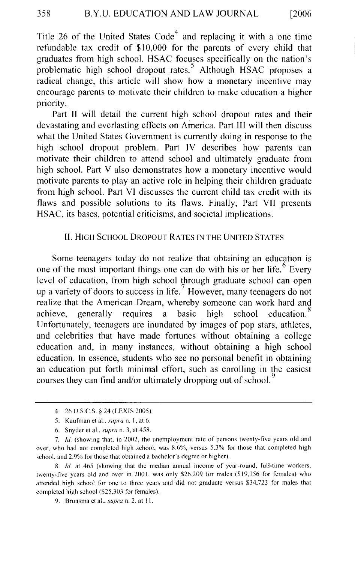Title 26 of the United States Code<sup>4</sup> and replacing it with a one time refundable tax credit of \$10,000 for the parents of every child that graduates from high school. HSAC focuses specifically on the nation's problematic high school dropout rates.<sup>5</sup> Although HSAC proposes a radical change, this article will show how a monetary incentive may encourage parents to motivate their children to make education a higher priority.

Part II will detail the current high school dropout rates and their devastating and everlasting effects on America. Part III will then discuss what the United States Government is currently doing in response to the high school dropout problem. Part IV describes how parents can motivate their children to attend school and ultimately graduate from high school. Part V also demonstrates how a monetary incentive would motivate parents to play an active role in helping their children graduate from high school. Part VI discusses the current child tax credit with its flaws and possible solutions to its flaws. Finally, Part VII presents HSAC, its bases, potential criticisms, and societal implications.

#### II. HIGH SCHOOL DROPOUT RATES IN THE UNITED STATES

Some teenagers today do not realize that obtaining an education is one of the most important things one can do with his or her life.  $6\degree$  Every level of education, from high school through graduate school can open up a variety of doors to success in life.<sup>7</sup> However, many teenagers do not realize that the American Dream, whereby someone can work hard and achieve, generally requires a basic high school education.<sup>8</sup> Unfortunately, teenagers are inundated by images of pop stars, athletes, and celebrities that have made fortunes without obtaining a college education and, in many instances, without obtaining a high school education. In essence, students who see no personal benefit in obtaining an education put forth minimal effort, such as enrolling in the easiest courses they can find and/or ultimately dropping out of school.

8. */d.* at 465 (showing that the median annual income of year-round, full-time workers, twenty-five years old and over in 2001, was only \$26,209 for males (\$19, 156 for females) who attended high school for one to three years and did not graduate versus \$34,723 for males that completed high school (\$25,303 for females).

9. Brunsma et al., *supra* n. 2, at II.

<sup>4. 26</sup> U.S.C.S. § 24 (LEX IS 2005).

<sup>5.</sup> Kaufman et at., *supra* n. 1, at 6.

<sup>6.</sup> Snyder et al., *supra* n. 3, at 458.

<sup>7.</sup> */d.* (showing that, in 2002, the unemployment rate of persons twenty-five years old and over, who had not completed high school, was 8.6%, versus 5.3% for those that completed high school, and 2.9% for those that obtained a bachelor's degree or higher).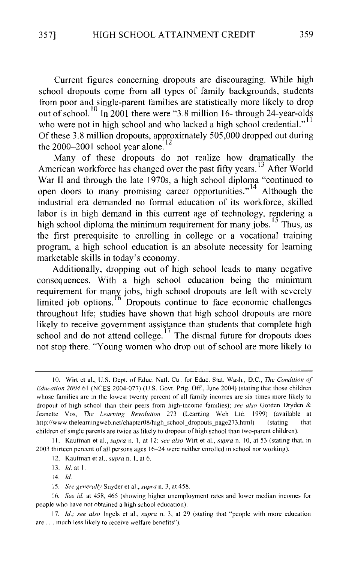Current figures concerning dropouts are discouraging. While high school dropouts come from all types of family backgrounds, students from poor and single-parent families are statistically more likely to drop out of school.<sup>10</sup> In 2001 there were "3.8 million 16- through 24-year-olds who were not in high school and who lacked a high school credential."<sup>11</sup> Of these 3.8 million dropouts, approximately 505,000 dropped out during the 2000-2001 school year alone.<sup>12</sup>

Many of these dropouts do not realize how dramatically the American workforce has changed over the past fifty years.<sup>13</sup> After World War II and through the late 1970s, a high school diploma "continued to open doors to many promising career opportunities."<sup>14</sup> Although the industrial era demanded no formal education of its workforce, skilled labor is in high demand in this current age of technology, rendering a high school diploma the minimum requirement for many jobs. <sup>15</sup> Thus, as the first prerequisite to enrolling in college or a vocational training program, a high school education is an absolute necessity for learning marketable skills in today's economy.

Additionally, dropping out of high school leads to many negative consequences. With a high school education being the minimum requirement for many jobs, high school dropouts are left with severely limited job options.  $^{16}$  Dropouts continue to face economic challenges throughout life; studies have shown that high school dropouts are more likely to receive government assistance than students that complete high school and do not attend college.<sup>17</sup> The dismal future for dropouts does not stop there. "Young women who drop out of school are more likely to

<sup>10.</sup> Wirt et al., U.S. Dept. of Educ. Natl. Ctr. for Educ. Stat. Wash., D.C., *The Condition of Education 2004* 61 (NCES 2004-077) (U.S. Govt. Prtg. Off., June 2004) (stating that those children whose families are in the lowest twenty percent of all family incomes are six times more likely to dropout of high school than their peers from high-income families); *see also* Gorden Dryden & Jeanette Vos, *The Learning Revolution* 273 (Learning Web Ltd. 1999) (available at http://www.thelearningweb.net/chapter08/high\_school\_dropouts\_page273.html) (stating that children of single parents are twice as likely to dropout of high school than two-parent children).

II. Kaufman et a!., *supra* n. I, at 12; *see also* Wirt et a!., *supra* n. I 0, at 53 (stating that, in 2003 thirteen percent of all persons ages 16-24 were neither enrolled in school nor working).

I 2. Kaufman et a!., *supra* n. I, at 6.

<sup>13.</sup> *!d.* at I.

<sup>14.</sup> *!d.* 

<sup>15.</sup> *See generally* Snyder eta!., *supra* n. 3, at 458.

<sup>16.</sup> *See id.* at 458, 465 (showing higher unemployment rates and lower median incomes for people who have not obtained a high school education).

<sup>17.</sup> *Id.; see also* Ingels et al., *supra* n. 3, at 29 (stating that "people with more education are ... much less likely to receive welfare benefits").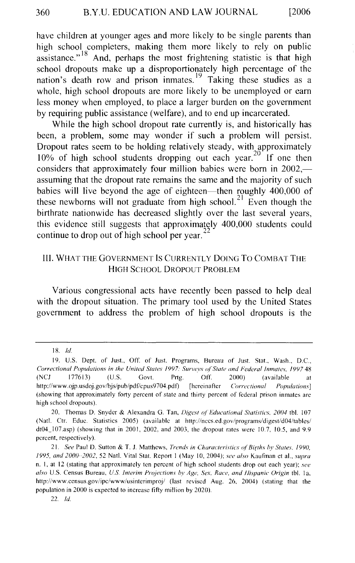have children at younger ages and more likely to be single parents than high school completers, making them more likely to rely on public assistance."  $18$  And, perhaps the most frightening statistic is that high school dropouts make up a disproportionately high percentage of the nation's death row and prison inmates.<sup>19</sup> Taking these studies as a whole, high school dropouts are more likely to be unemployed or earn less money when employed, to place a larger burden on the government by requiring public assistance (welfare), and to end up incarcerated.

While the high school dropout rate currently is, and historically has been, a problem, some may wonder if such a problem will persist. Dropout rates seem to be holding relatively steady, with approximately  $10\%$  of high school students dropping out each year.<sup>20</sup> If one then considers that approximately four million babies were born in  $2002$ , assuming that the dropout rate remains the same and the majority of such babies will live beyond the age of eighteen—then roughly 400,000 of these newborns will not graduate from high school.<sup>21</sup> Even though the birthrate nationwide has decreased slightly over the last several years, this evidence still suggests that approximately 400,000 students could continue to drop out of high school per year.<sup>22</sup>

#### Ill. WHAT THE GOVERNMENT IS CURRENTLY DOING To COMBAT THE HIGH SCHOOL DROPOUT PROBLEM

Various congressional acts have recently been passed to help deal with the dropout situation. The primary tool used by the United States government to address the problem of high school dropouts is the

<sup>18.</sup> *!d.* 

<sup>19.</sup> U.S. Dept. of Just., Off. of Just. Programs, Bureau of Just. Stat., Wash., D.C., *Correctional Populations in the United States* 1997: *Surveys o/"State and Federal Inmates,* 1997 48 (NCJ 177613) (U.S. Govt. Prtg. Off. 2000) (available at http://www.ojp.usdoj.gov/bjs/pub/pdf/cpus9704.pdf) [hereinafter *Correctional Populations*] (showing that approximately forty percent of state and thirty percent of federal prison inmates are high school dropouts).

<sup>20.</sup> Thomas D. Snyder & Alexandra G. Tan, *Digest of Educational Statistics*, 2004 tbl. 107 (Nat!. Ctr. Educ. Statistics 2005) (available at http://nces.ed.gov/programs/digest/d04/tables/ dt04~107.asp) (showing that in 2001, 2002, and 2003, the dropout rates were 10.7, 10.5, and 9.9 percent, respectively).

<sup>21.</sup> *See* Paul D. Sutton & T. J. Matthews, *Trends in Characteristics oj"Births* hy *States.* 1990, 1995, *and 2000--2002,* 52 Nat!. Vital Stat. Report I (May 10, 2004); *se<' also* Kaufman et al., *supra*  n. I, at 12 (stating that approximately ten percent of high school students drop out each year); *see also* U.S. Census Bureau, *U.S. Interim Projections by Age, Sex. Race, and l!ispanic Origin* tbl. Ia, http://www.census.gov/ipc/www/usinterimproj/ (last revised Aug. 26, 2004) (stating that the population in 2000 is expected to increase fifty million by 2020).

<sup>22.</sup> *!d.*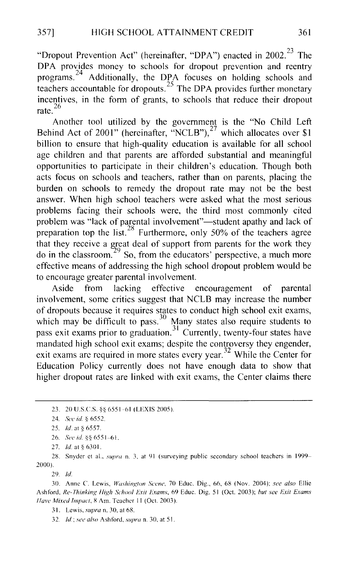"Dropout Prevention Act" (hereinafter, "DPA") enacted in 2002.<sup>23</sup> The DPA provides money to schools for dropout prevention and reentry programs.<sup>24</sup> Additionally, the DPA focuses on holding schools and teachers accountable for dropouts.<sup>25</sup> The DPA provides further monetary incentives, in the form of grants, to schools that reduce their dropout rate.<sup>26</sup>

Another tool utilized by the government is the "No Child Left Behind Act of 2001" (hereinafter, "NCLB"), $^{27}$  which allocates over \$1 billion to ensure that high-quality education is available for all school age children and that parents are afforded substantial and meaningful opportunities to participate in their children's education. Though both acts focus on schools and teachers, rather than on parents, placing the burden on schools to remedy the dropout rate may not be the best answer. When high school teachers were asked what the most serious problems facing their schools were, the third most commonly cited problem was "lack of parental involvement"—student apathy and lack of preparation top the list.<sup>28</sup> Furthermore, only 50% of the teachers agree that they receive a great deal of support from parents for the work they do in the classroom.<sup>29</sup> So, from the educators' perspective, a much more effective means of addressing the high school dropout problem would be to encourage greater parental involvement.

Aside from lacking effective encouragement of parental involvement, some critics suggest that NCLB may increase the number of dropouts because it requires states to conduct high school exit exams, which may be difficult to pass.<sup>30</sup> Many states also require students to pass exit exams prior to graduation.<sup>31</sup> Currently, twenty-four states have mandated high school exit exams; despite the controversy they engender, exit exams are required in more states every year.<sup>32</sup> While the Center for Education Policy currently does not have enough data to show that higher dropout rates are linked with exit exams, the Center claims there

26. *See id.*  $88~6551-61$ .

2X. Snyder et al., *supra* n. 3, at 91 (surveying public secondary school teachers in 1999- 2000)

29. *!d.* 

30. Anne *C.* Lewis. *Washington Scene,* 70 Educ. Dig., 66, 68 (Nov. 2004); *see also* Ellie Ashford, *Re-Thinking High School Exit Exams,* 69 Educ. Dig. 51 (Oct. 2003); *hut see Exit Exams Have Mixed Impact, 8 Am. Teacher 11 (Oct. 2003).* 

31. Lewis. *supra* n. 30. at 68.

32. *!d.; see also* Ashford, *supra* n. 30, at 51.

<sup>23. 20</sup> U.S.C.S. §§ 6551-61 (LEXIS 2005).

<sup>24.</sup> *See id.* § 6552.

<sup>25.</sup> *Id.* at § 6557.

<sup>27.</sup> *Id.* at § 6301.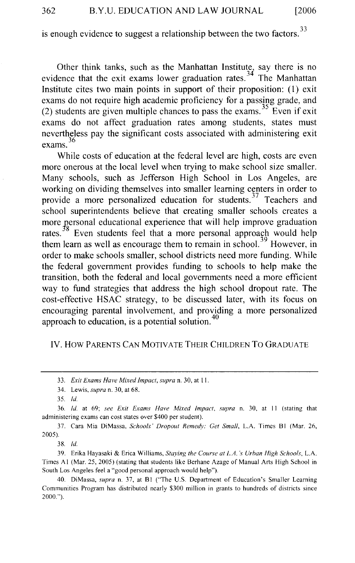is enough evidence to suggest a relationship between the two factors.  $33$ 

Other think tanks, such as the Manhattan Institute, say there is no evidence that the exit exams lower graduation rates.<sup>34</sup> The Manhattan Institute cites two main points in support of their proposition: ( 1) exit exams do not require high academic proficiency for a passing grade, and (2) students are given multiple chances to pass the exams.<sup>35</sup> Even if exit exams do not affect graduation rates among students, states must nevertheless pay the significant costs associated with administering exit exams.<sup>36</sup>

While costs of education at the federal level are high, costs are even more onerous at the local level when trying to make school size smaller. Many schools, such as Jefferson High School in Los Angeles, are working on dividing themselves into smaller learning centers in order to provide a more personalized education for students.<sup>37</sup> Teachers and school superintendents believe that creating smaller schools creates a more personal educational experience that will help improve graduation rates.<sup>38</sup> Even students feel that a more personal approach would help them learn as well as encourage them to remain in school.<sup>39</sup> However, in order to make schools smaller, school districts need more funding. While the federal government provides funding to schools to help make the transition, both the federal and local governments need a more efficient way to fund strategies that address the high school dropout rate. The cost-effective HSAC strategy, to be discussed later, with its focus on encouraging parental involvement, and providing a more personalized approach to education, is a potential solution. $4\overline{)}$ 

#### IV. HOW PARENTS CAN MOTIVATE THEIR CHILDREN TO GRADUATE

37. Cara Mia DiMassa, *Schools' Dropout Remedy: Get Small,* L.A. Times Bl (Mar. 26, 2005).

38. */d.* 

39. Erika Hayasaki & Erica Williams, *Staying the Course at L.A. 's Urban High Schools,* L.A. Times AI (Mar. 25, 2005) (stating that students like Berhane Azage of Manual Arts High School in South Los Angeles feel a "good personal approach would help").

40. DiMassa, *supra* n. 37, at Bl ("The U.S. Department of Education's Smaller Learning Communities Program has distributed nearly \$300 million in grants to hundreds of districts since 2000.").

<sup>33.</sup> *Exit Exams Have Mixed Impact, supra* n. 30, at II.

<sup>34.</sup> Lewis, *supra* n. 30, at 68.

<sup>35.</sup> *!d.* 

<sup>36.</sup> Jd. at 69; *see Exit Exams Have Mixed Impact, supra* n. 30, at II (stating that administering exams can cost states over \$400 per student).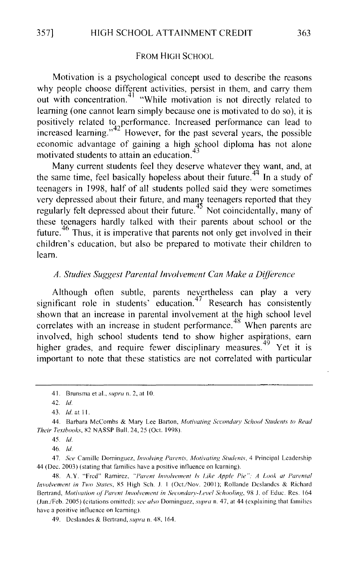#### FROM HIGH SCHOOL

Motivation is a psychological concept used to describe the reasons why people choose different activities, persist in them, and carry them out with concentration.<sup>41</sup> "While motivation is not directly related to learning (one cannot learn simply because one is motivated to do so), it is positively related to performance. Increased perfonnance can lead to increased learning."<sup>42'</sup> However, for the past several years, the possible economic advantage of gaining a high school diploma has not alone motivated students to attain an education.

Many current students feel they deserve whatever they want, and, at the same time, feel basically hopeless about their future.<sup> $44$ </sup> In a study of teenagers in 1998, half of all students polled said they were sometimes very depressed about their future, and many teenagers reported that they regularly felt depressed about their future.<sup>45</sup> Not coincidentally, many of these teenagers hardly talked with their parents about school or the future. 46 Thus, it is imperative that parents not only get involved in their children's education, but also be prepared to motivate their children to learn.

#### *A. Studies Suggest Parental Involvement Can Make a Difference*

Although often subtle, parents nevertheless can play a very significant role in students' education.<sup>47</sup> Research has consistently shown that an increase in parental involvement at the high school level correlates with an increase in student performance.<sup>48</sup> When parents are involved, high school students tend to show higher aspirations, earn higher grades, and require fewer disciplinary measures.<sup>49</sup> Yet it is important to note that these statistics are not correlated with particular

<sup>41.</sup> Brunsma et al., *supra* n. 2, at 10.

<sup>42.</sup> *!d.* 

<sup>43.</sup> *!d.* nt II.

<sup>44.</sup> Barbara McCombs & Mary Lee Barton, *Motivating Sccondwy School Swdents to Read Their Textbooks, 82 NASSP Bull. 24, 25 (Oct. 1998).* 

<sup>45.</sup> *!d.* 

<sup>46.</sup> *!d.* 

<sup>47.</sup> *See* Camille Dominguez, *Involving Parents, Motivating Students,* 4 Principal Leadership 44 (Dec. 2003) (stating that families have a positive influence on learning).

<sup>48.</sup> A.Y. "Fred" Ramirez, "Parent Involvement Is Like Apple Pie": A Look at Parental *Involvement in Two States, 85 High Sch. J. 1 (Oct./Nov. 2001); Rollande Deslandes & Richard* Bertrand, *Motivation of Parent Involvement in Secondary-Level Schooling*, 98 J. of Educ. Res. 164 (Jan./Feb. 2005) (citations omitted): *see also* Dominguez, *supra* n. 47, at 44 (explaining that families have a positive influence on learning).

<sup>49.</sup> Deslandes & Bertrand, *supra* n. 48, 164.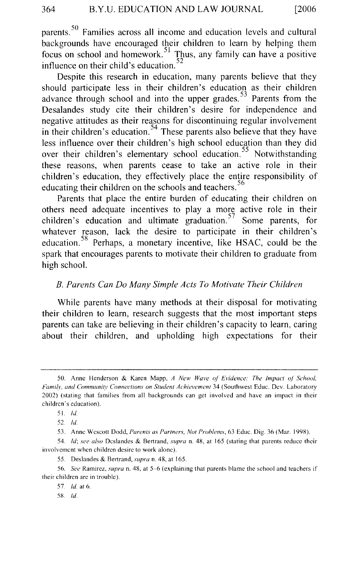parents.<sup>50</sup> Families across all income and education levels and cultural backgrounds have encouraged their children to learn by helping them focus on school and homework. 51 Thus, any family can have a positive influence on their child's education.

Despite this research in education, many parents believe that they should participate less in their children's education as their children advance through school and into the upper grades.  $53$  Parents from the Desalandes study cite their children's desire for independence and negative attitudes as their reasons for discontinuing regular involvement in their children's education.<sup>54</sup> These parents also believe that they have less influence over their children's high school education than they did over their children's elementary school education.<sup>55</sup> Notwithstanding these reasons, when parents cease to take an active role in their children's education, they effectively place the entire responsibility of educating their children on the schools and teachers.<sup>56</sup>

Parents that place the entire burden of educating their children on others need adequate incentives to play a more active role in their children's education and ultimate graduation.<sup>57</sup> Some parents, for whatever reason, lack the desire to participate in their children's education.<sup>58</sup> Perhaps, a monetary incentive, like HSAC, could be the spark that encourages parents to motivate their children to graduate from high school.

#### *B. Parents Can Do Many Simple Acts To Motivate Their Children*

While parents have many methods at their disposal for motivating their children to learn, research suggests that the most important steps parents can take are believing in their children's capacity to learn, caring about their children, and upholding high expectations for their

5K *!d.* 

<sup>50.</sup> Anne Henderson & Karen Mapp, *A New Wave of Evidence: The Impact of School, Family, and Community Connections on Student Achievement* 34 (Southwest Educ. Dev. Laboratory 2002) (stating that families from all backgrounds can get involved and have an impact in their children's education).

<sup>51.</sup> *!d.* 

<sup>52.</sup> */d.* 

<sup>53.</sup> Anne Wescott Dodd, *Parents as Partners, Not Prohlems,* 63 Educ. Dig. 36 (Mar. 1998).

<sup>54.</sup> *ld; see also* Deslandes & Bertrand, *supra* n. 48, at 165 (stating that parents reduce their involvement when children desire to work alone).

<sup>55.</sup> Deslandes & Bertrand, *supra* n. 48, at 165.

<sup>56.</sup> *See* Ramirez, *supra* n. 48, at 5-6 (explaining that parents blame the school and teachers if their children are in trouble).

<sup>57.</sup> *!d.* at 6.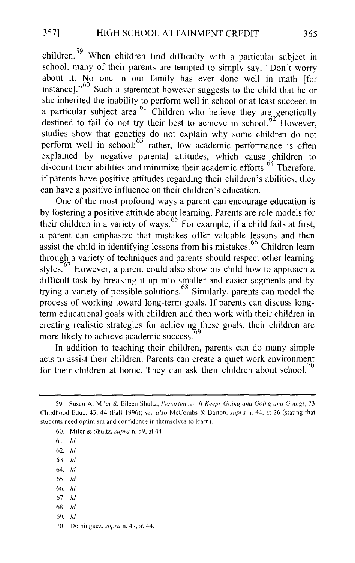children. 59 When children find difficulty with a particular subject in school, many of their parents are tempted to simply say, "Don't worry about it. No one in our family has ever done well in math [for instance]."<sup>60</sup> Such a statement however suggests to the child that he or she inherited the inability to perform well in school or at least succeed in a particular subject area.  $61$  Children who believe they are genetically destined to fail do not try their best to achieve in school.<sup>62</sup> However, studies show that genetics do not explain why some children do not perform well in school;<sup>63</sup> rather, low academic performance is often explained by negative parental attitudes, which cause children to discount their abilities and minimize their academic efforts.<sup>64</sup> Therefore, if parents have positive attitudes regarding their children's abilities, they can have a positive influence on their children's education.

One of the most profound ways a parent can encourage education is by fostering a positive attitude about learning. Parents are role models for their children in a variety of ways.<sup>65</sup> For example, if a child fails at first, a parent can emphasize that mistakes offer valuable lessons and then assist the child in identifying lessons from his mistakes.<sup>66</sup> Children learn through a variety of techniques and parents should respect other learning styles. 67 However, a parent could also show his child how to approach a difficult task by breaking it up into smaller and easier segments and by trying a variety of possible solutions. 68 Similarly, parents can model the process of working toward long-term goals. If parents can discuss longterm educational goals with children and then work with their children in creating realistic strategies for achieving these goals, their children are more likely to achieve academic success. 9

In addition to teaching their children, parents can do many simple acts to assist their children. Parents can create a quiet work environment for their children at home. They can ask their children about school.<sup>70</sup>

- 64. */d.*
- 65. *ld*
- 66. */d.*
- 67. *ld*  6g. */d.*
- 69. */d.*
- 70. Dominguez, *supra* n. 47, at 44.

<sup>59.</sup> Susan A. Miler & Eileen Shultz, *Persistence It Keeps Going and Going and Going!,* 73 Childhood Educ. 43,44 (Fall 1996); *see also* McCombs & Barton, *supra* n. 44, at 26 (stating that students need optimism and confidence in themselves to learn).

<sup>60.</sup> Miler & Shultz, *supra* n. 59, at 44.

<sup>61</sup> */d.* 

<sup>62.</sup> */d.* 

<sup>63.</sup> *ld*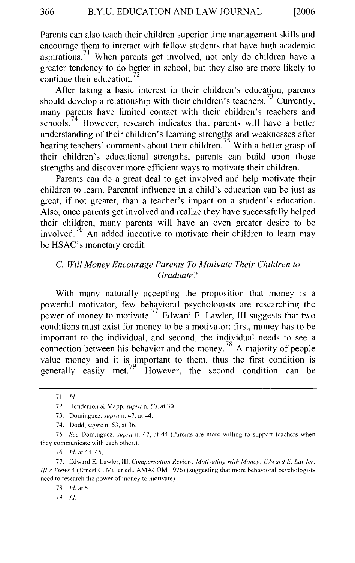Parents can also teach their children superior time management skills and encourage them to interact with fellow students that have high academic aspirations.<sup>71</sup> When parents get involved, not only do children have a greater tendency to do better in school, but they also are more likely to continue their education. $^{72}$ 

After taking a basic interest in their children's education, parents should develop a relationship with their children's teachers.<sup>73</sup> Currently, many parents have limited contact with their children's teachers and schools.<sup> $74$ </sup> However, research indicates that parents will have a better understanding of their children's learning strengths and weaknesses after hearing teachers' comments about their children.<sup>75</sup> With a better grasp of their children's educational strengths, parents can build upon those strengths and discover more efficient ways to motivate their children.

Parents can do a great deal to get involved and help motivate their children to learn. Parental influence in a child's education can be just as great, if not greater, than a teacher's impact on a student's education. Also, once parents get involved and realize they have successfully helped their children, many parents will have an even greater desire to be involved.<sup>76</sup> An added incentive to motivate their children to learn may be HSAC's monetary credit.

#### C. *Will Money Encourage Parents To Motivate Their Children to Graduate?*

With many naturally accepting the proposition that money is a powerful motivator, few behavioral psychologists are researching the power of money to motivate.<sup>77</sup> Edward E. Lawler, III suggests that two conditions must exist for money to be a motivator: first, money has to be important to the individual, and second, the individual needs to see a connection between his behavior and the money.<sup>78</sup> A majority of people value money and it is important to them, thus the first condition is generally easily met.<sup>79</sup> However, the second condition can be However, the second condition can be

79. */d.* 

<sup>71./</sup>d.

<sup>72.</sup> Henderson & Mapp. *supra* n. 50, at 30.

<sup>73.</sup> Dominguez, *supra* n. 47, at 44.

<sup>74.</sup> Dodd, *supra* n. 53, at 36.

<sup>75.</sup> *See* Dominguez, *supra* n. 47, at 44 (Parents are more willing to support teachers when they communicate with each other.).

<sup>76.</sup> *!d.* at 44-45.

<sup>77.</sup> Edward E. Lawler, Ill, *Compensation Review: Motivating with Money: Edward E. Lawler, Ill's Views* 4 (Emest *C.* Miller ed., AMACOM 1976) (suggesting that more behavioral psychologists need to research the power of money to motivate).

<sup>78.</sup> *!d.* at 5.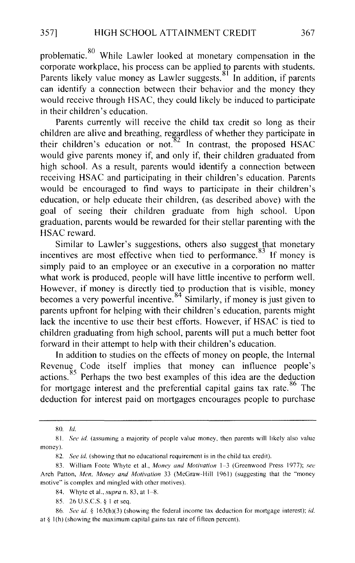problematic.<sup>80</sup> While Lawler looked at monetary compensation in the corporate workplace, his process can be applied to parents with students. Parents likely value money as Lawler suggests.<sup>81</sup> In addition, if parents can identify a connection between their behavior and the money they would receive through HSAC, they could likely be induced to participate in their children's education.

Parents currently will receive the child tax credit so long as their children are alive and breathing, regardless of whether they participate in their children's education or not.  $82$  In contrast, the proposed HSAC would give parents money if, and only if, their children graduated from high school. As a result, parents would identify a connection between receiving HSAC and participating in their children's education. Parents would be encouraged to find ways to participate in their children's education, or help educate their children, (as described above) with the goal of seeing their children graduate from high school. Upon graduation, parents would be rewarded for their stellar parenting with the HSAC reward.

Similar to Lawler's suggestions, others also suggest that monetary incentives are most effective when tied to performance.<sup>83</sup> If money is simply paid to an employee or an executive in a corporation no matter what work is produced, people will have little incentive to perform well. However, if money is directly tied to production that is visible, money becomes a very powerful incentive.<sup>84</sup> Similarly, if money is just given to parents upfront for helping with their children's education, parents might lack the incentive to use their best efforts. However, if HSAC is tied to children graduating from high school, parents will put a much better foot forward in their attempt to help with their children's education.

In addition to studies on the effects of money on people, the Internal Revenue Code itself implies that money can influence people's actions.  $85$  Perhaps the two best examples of this idea are the deduction for mortgage interest and the preferential capital gains tax rate.<sup>86</sup> The deduction for interest paid on mortgages encourages people to purchase

<sup>80.</sup> *ld* 

<sup>81.</sup> *See id.* (assuming a majority of people value money, then parents will likely also value money).

<sup>82.</sup> *See id.* (showing that no educational requirement is in the child tax credit).

<sup>83.</sup> William Foote Whyte et al., *Money and Motivation* 1-3 (Greenwood Press 1977); *see*  Arch Patton, *Men, Money and Motivation* 33 (McGraw-Hill 1961) (suggesting that the "money motive" is complex and mingled with other motives).

<sup>84.</sup> Whyte et al., *supra* n. 83, at 1-8.

<sup>85. 26</sup> U.S.C.S. § I et seq.

<sup>86.</sup> *See id.* § 163(h)(3) (showing the federal income tax deduction for mortgage interest); *id.*  at §  $1(h)$  (showing the maximum capital gains tax rate of fifteen percent).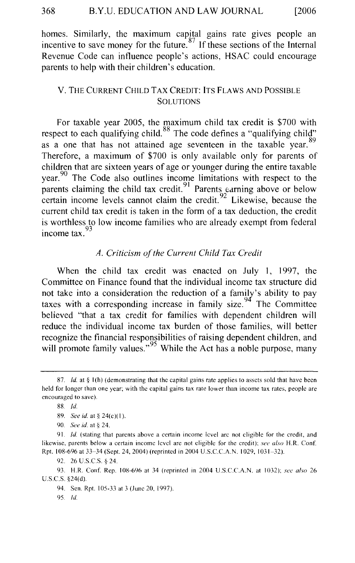homes. Similarly, the maximum capital gains rate gives people an incentive to save money for the future.<sup>87</sup> If these sections of the Internal Revenue Code can influence people's actions, HSAC could encourage parents to help with their children's education.

#### V. THE CURRENT CHILD TAX CREDIT: ITS FLAWS AND POSSIBLE **SOLUTIONS**

For taxable year 2005, the maximum child tax credit is \$700 with respect to each qualifying child.<sup>88</sup> The code defines a "qualifying child" as a one that has not attained age seventeen in the taxable year.  $89$ Therefore, a maximum of \$700 is only available only for parents of children that are sixteen years of age or younger during the entire taxable year.<sup>90</sup> The Code also outlines income limitations with respect to the parents claiming the child tax credit.<sup>91</sup> Parents earning above or below certain income levels cannot claim the credit.  $^{92}$  Likewise, because the current child tax credit is taken in the form of a tax deduction, the credit is worthless to low income families who are already exempt from federal income tax.

#### *A. Criticism of the Current Child Tax Credit*

When the child tax credit was enacted on July 1, 1997, the Committee on Finance found that the individual income tax structure did not take into a consideration the reduction of a family's ability to pay taxes with a corresponding increase in family size.<sup>94</sup> The Committee believed "that a tax credit for families with dependent children will reduce the individual income tax burden of those families, will better recognize the financial responsibilities of raising dependent children, and will promote family values."<sup>95</sup> While the Act has a noble purpose, many

<sup>87.</sup> *Id.* at § 1(h) (demonstrating that the capital gains rate applies to assets sold that have been held for longer than one year; with the capital gains tax rate lower than income tax rates, people are encouraged to save).

<sup>88.</sup> *!d.* 

<sup>89.</sup> *See id.* at § 24(c)(1).

<sup>90.</sup> *See id.* at§ 24.

<sup>91.</sup> *!d.* (stating that parents above a certain income level arc not eligible for the credit, and likewise, parents below a certain income level arc not eligible for the credit); *see also* H.R. Conf. Rpt. 108-696 at 33-34 (Sept. 24, 2004) (reprinted in 2004 U.S.C.C.A.N. I 029, 1031-32).

<sup>92.</sup> 26 U.S.C.S. § 24.

<sup>93.</sup> H.R. Con f. Rep. I 08-696 at 34 (reprinted in 2004 U.S.C.C.A.N. at I 032); *see also* 26 U.S.C.S. §24(d).

<sup>94.</sup> Sen. Rpt. 105-33 at 3 (June 20, 1997).

<sup>95.</sup> *!d.*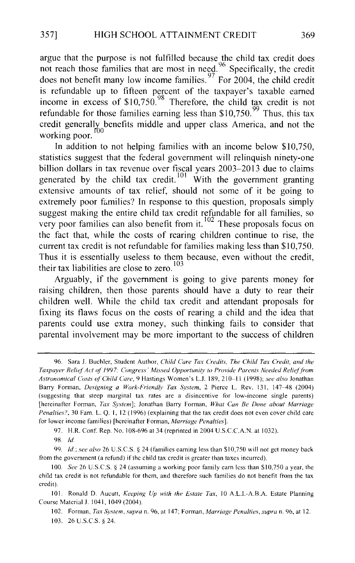argue that the purpose is not fulfilled because the child tax credit does not reach those families that are most in need.<sup>96</sup> Specifically, the credit does not benefit many low income families.<sup>97</sup> For 2004, the child credit is refundable up to fifteen percent of the taxpayer's taxable earned income in excess of  $$10,750$ . <sup>98</sup> Therefore, the child tax credit is not refundable for those families earning less than  $$10,750.$ <sup>99</sup> Thus, this tax credit generally benefits middle and upper class America, and not the working poor.  $\frac{100}{100}$ 

In addition to not helping families with an income below \$10,750, statistics suggest that the federal government will relinquish ninety-one billion dollars in tax revenue over fiscal years 2003–2013 due to claims generated by the child tax credit.<sup>101</sup> With the government granting extensive amounts of tax relief, should not some of it be going to extremely poor families? In response to this question, proposals simply suggest making the entire child tax credit refundable for all families, so very poor families can also benefit from it.<sup>102</sup> These proposals focus on the fact that, while the costs of rearing children continue to rise, the current tax credit is not refundable for families making less than \$10,750. Thus it is essentially useless to them because, even without the credit, their tax liabilities are close to zero.  $103$ 

Arguably, if the government is going to give parents money for raising children, then those parents should have a duty to rear their children well. While the child tax credit and attendant proposals for fixing its flaws focus on the costs of rearing a child and the idea that parents could use extra money, such thinking fails to consider that parental involvement may be more important to the success of children

97. H.R. Conf. Rep. No. 108-696 at 34 (reprinted in 2004 U.S.C.C.A.N. at 1032).

99. *!d.; see also* 26 U.S.C.S. 9 24 (families earning less than \$10,750 will not get money back from the government (a refund) if the child tax credit is greater than taxes incurred).

<sup>96.</sup> Sara J. Buchler, Student Author, *Child Care Tax Credits. The Child Tax Credit, and the Taxpayer Relief' Act of'* /1)97: *Congress' Missed Opportunity to Provide Parents Needed Relieffi'om Astronomical Costs of' Child Care,* 9 Hastings Women's L.J. 189, 210~11 (1998); *see also* Jonathan Barry Forman, *Designing a Work-Friendly Tax System*, 2 Pierce L. Rev. 131, 147-48 (2004) (suggesting that steep marginal tax rates are a disincentive for low-income single parents) [hereinafter Forman, *Tax System];* Jonathan Barry Forman, *What Can Be Done about Marriage Penalties?,* 30 Fam. L. Q. I, 12 (1996) (explaining that the tax credit does not even cover child care for lower income families) [hereinafter Forman, *Marriage Penalties].* 

<sup>98.</sup> ld

<sup>100.</sup> *See* 26 U.S.C.S. § 24 (assuming a working poor family earn less than \$10,750 a year, the child tax credit is not refundable for them, and therefore such families do not benefit from the tax credit).

<sup>101.</sup> Ronald D. Aucutt, *Keeping Up with the Estate Tax,* 10 A.L.I.-A.B.A. Estate Planning Course Material J. 1041, 1049 (2004).

<sup>102.</sup> Forman, *Tax System, supra* n. 96, at 147; Forman, *Marriage Penalties, supra* n. 96, at 12. 103. 26 U.S.C.S. § 24.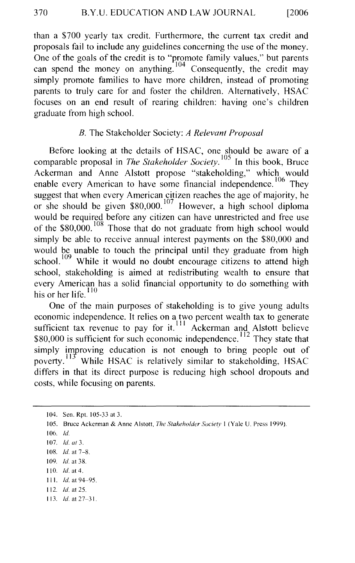than a \$700 yearly tax credit. Furthermore, the current tax credit and proposals fail to include any guidelines concerning the use of the money. One of the goals of the credit is to "promote family values," but parents can spend the money on anything. Consequently, the credit may simply promote families to have more children, instead of promoting parents to truly care for and foster the children. Alternatively, HSAC focuses on an end result of rearing children: having one's children graduate from high school.

#### *B.* The Stakeholder Society: *A Relevant Proposal*

Before looking at the details of HSAC, one should be aware of a comparable proposal in *The Stakeholder Society.* 105 In this book, Bruce Ackerman and Anne Alstott propose "stakeholding," which would enable every American to have some financial independence.  $106$  They suggest that when every American citizen reaches the age of majority, he or she should be given  $$80,000$ .<sup>107</sup> However, a high school diploma would be required before any citizen can have unrestricted and free use of the \$80,000.<sup>108</sup> Those that do not graduate from high school would simply be able to receive annual interest payments on the \$80,000 and would be unable to touch the principal until they graduate from high school.  $109$  While it would no doubt encourage citizens to attend high school, stakeholding is aimed at redistributing wealth to ensure that every American has a solid financial opportunity to do something with his or her life. $110$ 

One of the main purposes of stakeholding is to give young adults economic independence. It relies on a two percent wealth tax to generate sufficient tax revenue to pay for it.<sup>111</sup> Ackerman and Alstott believe \$80,000 is sufficient for such economic independence.  $12$  They state that simply improving education is not enough to bring people out of poverty.<sup>113</sup> While HSAC is relatively similar to stakeholding, HSAC differs in that its direct purpose is reducing high school dropouts and costs, while focusing on parents.

- 110. *ld.* at4.
- Ill. *!d.* at 94~95.
- 112. *ld.at25.*
- 113. *!d.* at 27~31.

<sup>104.</sup> Sen. Rpt. 105-33 at 3.

<sup>105.</sup> Bruce Ackerman & Anne Alstott, *The Stakeholder Society* I (Yale U. Press 1999).

<sup>106.</sup> *!d.* 

I 07. *!d. at* 3.

<sup>108.</sup> *Id.* at 7-8.

I 09. *ld.* at 38.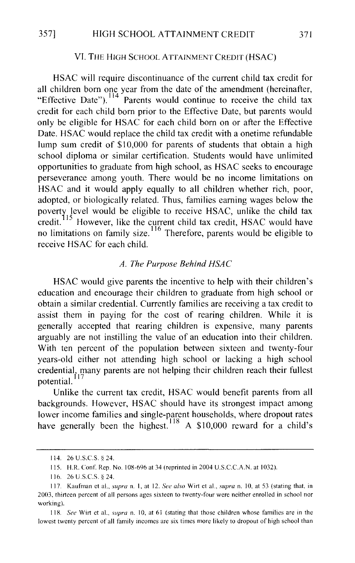#### 357] HIGH SCHOOL ATTAINMENT CREDIT 371

#### VI. THE HIGH SCHOOL ATTAINMENT CREDIT (HSAC)

HSAC will require discontinuance of the current child tax credit for all children born one year from the date of the amendment (hereinafter, "Effective Date").<sup>114</sup> Parents would continue to receive the child tax credit for each child born prior to the Effective Date, but parents would only be eligible for HSAC for each child born on or after the Effective Date. HSAC would replace the child tax credit with a onetime refundable lump sum credit of \$10,000 for parents of students that obtain a high school diploma or similar certification. Students would have unlimited opportunities to graduate from high school, as HSAC seeks to encourage perseverance among youth. There would be no income limitations on HSAC and it would apply equally to all children whether rich, poor, adopted, or biologically related. Thus, families earning wages below the poverty level would be eligible to receive HSAC, unlike the child tax credit.<sup>115</sup> However, like the current child tax credit, HSAC would have no limitations on family size.<sup>116</sup> Therefore, parents would be eligible to receive HSAC for each child.

#### *A. The Purpose Behind HSAC*

HSAC would give parents the incentive to help with their children's education and encourage their children to graduate from high school or obtain a similar credential. Currently families are receiving a tax credit to assist them in paying for the cost of rearing children. While it is generally accepted that rearing children is expensive, many parents arguably are not instilling the value of an education into their children. With ten percent of the population between sixteen and twenty-four years-old either not attending high school or lacking a high school credential, many parents are not helping their children reach their fullest potential.

Unlike the current tax credit, HSAC would benefit parents from all backgrounds. However, HSAC should have its strongest impact among lower income families and single-parent households, where dropout rates have generally been the highest.<sup>118</sup> A \$10,000 reward for a child's

<sup>114. 26</sup> U.S.C.S. § 24.

<sup>115.</sup> H.R. Conf. Rep. No. 108-696 at 34 (reprinted in 2004 U.S.C.C.A.N. at 1032).

<sup>116. 26</sup> U .S.C.S. § 24.

<sup>117.</sup> Kaufman et al., *supra* n. I, at 12. *See also* Wirt et al., *supra* n. I 0, at 53 (stating that, in 2003, thirteen percent of all persons ages sixteen to twenty-four were neither enrolled in school nor working).

<sup>118.</sup> *See* Wirt et al., *supra* n. I 0, at 61 (stating that those children whose families are in the lowest twenty percent of all family incomes are six times more likely to dropout of high school than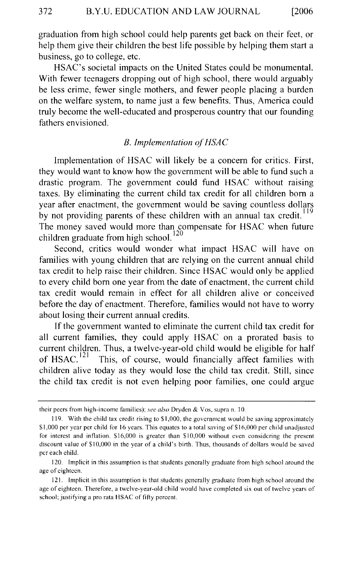graduation from high school could help parents get back on their feet, or help them give their children the best life possible by helping them start a business, go to college, etc.

HSAC's societal impacts on the United States could be monumental. With fewer teenagers dropping out of high school, there would arguably be less crime, fewer single mothers, and fewer people placing a burden on the welfare system, to name just a few benefits. Thus, America could truly become the well-educated and prosperous country that our founding fathers envisioned.

#### B. *Implementation of HSAC*

Implementation of HSAC will likely be a concern for critics. First, they would want to know how the government will be able to fund such a drastic program. The government could fund HSAC without raising taxes. By eliminating the current child tax credit for all children born a year after enactment, the government would be saving countless dollars by not providing parents of these children with an annual tax credit. The money saved would more than compensate for HSAC when future children graduate from high school.<sup>120</sup>

Second, critics would wonder what impact HSAC will have on families with young children that are relying on the current annual child tax credit to help raise their children. Since HSAC would only be applied to every child born one year from the date of enactment, the current child tax credit would remain in effect for all children alive or conceived before the day of enactment. Therefore, families would not have to worry about losing their current annual credits.

If the government wanted to eliminate the current child tax credit for all current families, they could apply HSAC on a prorated basis to current children. Thus, a twelve-year-old child would be eligible for half of HSAC.  $^{121}$  This, of course, would financially affect families with This, of course, would financially affect families with children alive today as they would lose the child tax credit. Still, since the child tax credit is not even helping poor families, one could argue

their peers from high-income families); *see also* Dryden & Vos, supra n. 10.

<sup>119.</sup> With the child tax credit rising to \$1,000, the government would be saving approximately \$1,000 per year per child for 16 years. This equates to a total saving of \$16,000 per child unadjusted for interest and inflation. \$16,000 is greater than \$10,000 without even considering the present discount value of \$10,000 in the year of a child's birth. Thus, thousands of dollars would be saved per each child.

<sup>120.</sup> Implicit in this assumption is that students generally graduate from high school around the age of eighteen.

<sup>121.</sup> Implicit in this assumption is that students generally graduate from high school around the age of eighteen. Therefore, a twelve-year-old child would have completed six out of twelve years of school; justifying a pro rata HSAC of fifty percent.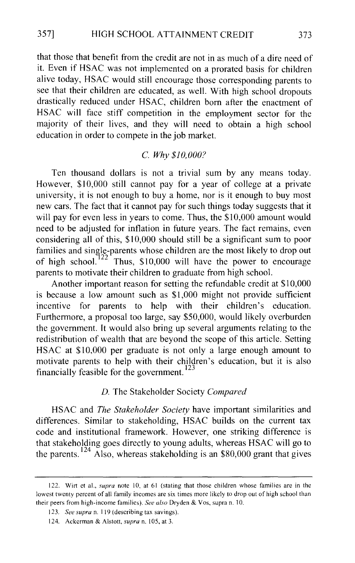that those that benefit from the credit are not in as much of a dire need of it. Even if HSAC was not implemented on a prorated basis for children alive today, HSAC would still encourage those corresponding parents to see that their children are educated, as well. With high school dropouts drastically reduced under HSAC, children born after the enactment of HSAC will face stiff competition in the employment sector for the majority of their lives, and they will need to obtain a high school education in order to compete in the job market.

#### C. *Why \$10,000?*

Ten thousand dollars is not a trivial sum by any means today. However, \$10,000 still cannot pay for a year of college at a private university, it is not enough to buy a home, nor is it enough to buy most new cars. The fact that it cannot pay for such things today suggests that it will pay for even less in years to come. Thus, the \$10,000 amount would need to be adjusted for inflation in future years. The fact remains, even considering all of this, \$10,000 should still be a significant sum to poor families and single-parents whose children are the most likely to drop out of high school.<sup>122</sup> Thus, \$10,000 will have the power to encourage Thus, \$10,000 will have the power to encourage parents to motivate their children to graduate from high school.

Another important reason for setting the refundable credit at \$10,000 is because a low amount such as \$1 ,000 might not provide sufficient incentive for parents to help with their children's education. Furthermore, a proposal too large, say \$50,000, would likely overburden the government. It would also bring up several arguments relating to the redistribution of wealth that are beyond the scope of this article. Setting HSAC at \$10,000 per graduate is not only a large enough amount to motivate parents to help with their children's education, but it is also financially feasible for the government. 123

#### *D.* The Stakeholder Society *Compared*

HSAC and *The Stakeholder Society* have important similarities and differences. Similar to stakeholding, HSAC builds on the current tax code and institutional framework. However, one striking difference is that stakeholding goes directly to young adults, whereas HSAC will go to the parents.<sup>124</sup> Also, whereas stakeholding is an \$80,000 grant that gives

<sup>122.</sup> Wirt et al., *supra* note 10, at 61 (stating that those children whose families are in the lowest twenty percent of all family incomes are six times more likely to drop out of high school than their peers from high-income families). *See also* Dryden & Vos, supra n. 10.

<sup>123.</sup> *See supra* n. I 19 (describing tax savings).

<sup>124.</sup> Ackerman & Alstott, *supra* n. 105, at 3.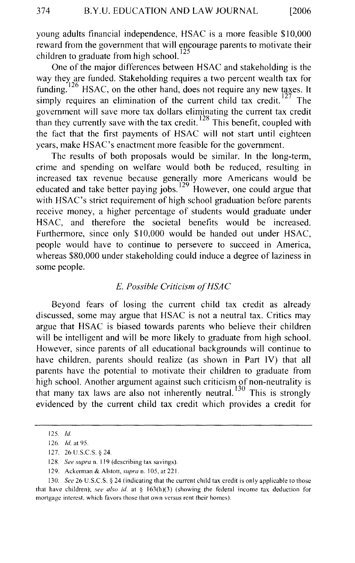young adults financial independence, HSAC is a more feasible \$10,000 reward from the government that will encourage parents to motivate their children to graduate from high school.<sup>125</sup>

One of the major differences between HSAC and stakeholding is the way they are funded. Stakeholding requires a two percent wealth tax for funding.  $126$  HSAC, on the other hand, does not require any new taxes. It simply requires an elimination of the current child tax credit.<sup>127</sup> The government will save more tax dollars eliminating the current tax credit than they currently save with the tax credit.  $128$  This benefit, coupled with the fact that the first payments of HSAC will not start until eighteen years, make HSAC's enactment more feasible for the government.

The results of both proposals would be similar. In the long-term, crime and spending on welfare would both be reduced, resulting in increased tax revenue because generally more Americans would be educated and take better paying jobs.  $129$  However, one could argue that with HSAC's strict requirement of high school graduation before parents receive money, a higher percentage of students would graduate under HSAC, and therefore the societal benefits would be increased. Furthermore, since only \$10,000 would be handed out under HSAC, people would have to continue to persevere to succeed in America, whereas \$80,000 under stakeholding could induce a degree of laziness in some people.

#### *E. Possible Criticism ofHSAC*

Beyond fears of losing the current child tax credit as already discussed, some may argue that HSAC is not a neutral tax. Critics may argue that HSAC is biased towards parents who believe their children will be intelligent and will be more likely to graduate from high school. However, since parents of all educational backgrounds will continue to have children, parents should realize (as shown in Part IV) that all parents have the potential to motivate their children to graduate from high school. Another argument against such criticism of non-neutrality is that many tax laws are also not inherently neutral.<sup>130</sup> This is strongly evidenced by the current child tax credit which provides a credit for

<sup>125.</sup> *ld* 

<sup>126.</sup> *!d.* at 95.

<sup>127. 26</sup> U.S.C.S. § 24.

<sup>128.</sup> *See supra* n. 119 (describing tax savings).

<sup>129.</sup> Ackerman & Alstott, *supra* n. 105, at 221.

<sup>130.</sup> *See* 26 U.S.C.S. § 24 (indicating that the current child tax credit is only applicable to those that have children); *see also id.* at § 163(h)(3) (showing the federal income tax deduction for mortgage interest, which favors those that own versus rent their homes).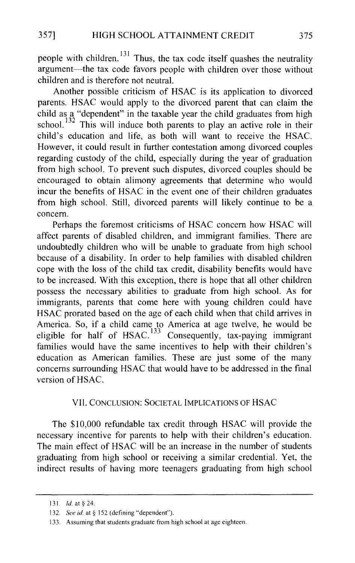people with children.  $131$  Thus, the tax code itself quashes the neutrality argument-the tax code favors people with children over those without children and is therefore not neutral.

Another possible criticism of HSAC is its application to divorced parents. HSAC would apply to the divorced parent that can claim the child as a "dependent" in the taxable year the child graduates from high school.<sup>132</sup> This will induce both parents to play an active role in their child's education and life, as both will want to receive the HSAC. However, it could result in further contestation among divorced couples regarding custody of the child, especially during the year of graduation from high school. To prevent such disputes, divorced couples should be encouraged to obtain alimony agreements that determine who would incur the benefits of HSAC in the event one of their children graduates from high school. Still, divorced parents will likely continue to be a concern.

Perhaps the foremost criticisms of HSAC concern how HSAC will affect parents of disabled children, and immigrant families. There are undoubtedly children who will be unable to graduate from high school because of a disability. In order to help families with disabled children cope with the loss of the child tax credit, disability benefits would have to be increased. With this exception, there is hope that all other children possess the necessary abilities to graduate from high school. As for immigrants, parents that come here with young children could have HSAC prorated based on the age of each child when that child arrives in America. So, if a child came to America at age twelve, he would be eligible for half of HSAC.<sup>133</sup> Consequently, tax-paying immigrant families would have the same incentives to help with their children's education as American families. These are just some of the many concerns surrounding HSAC that would have to be addressed in the final version of HSAC.

#### VII. CONCLUSION: SOCIETAL IMPLICATIONS OF HSAC

The \$10,000 refundable tax credit through HSAC will provide the necessary incentive for parents to help with their children's education. The main effect of HSAC will be an increase in the number of students graduating from high school or receiving a similar credential. Yet, the indirect results of having more teenagers graduating from high school

<sup>131.</sup> *ld.* at § 24.

<sup>132.</sup> *See id.* at § 152 (defining "dependent").

<sup>133.</sup> Assuming that students graduate from high school at age eighteen.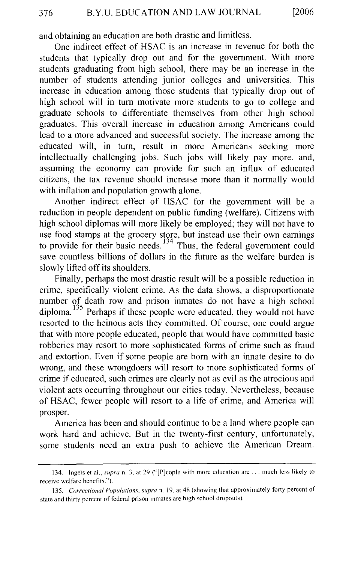and obtaining an education are both drastic and limitless.

One indirect effect of HSAC is an increase in revenue for both the students that typically drop out and for the government. With more students graduating from high school, there may be an increase in the number of students attending junior colleges and universities. This increase in education among those students that typically drop out of high school will in tum motivate more students to go to college and graduate schools to differentiate themselves from other high school graduates. This overall increase in education among Americans could lead to a more advanced and successful society. The increase among the educated will, in tum, result in more Americans seeking more intellectually challenging jobs. Such jobs will likely pay more. and, assuming the economy can provide for such an influx of educated citizens, the tax revenue should increase more than it normally would with inflation and population growth alone.

Another indirect effect of HSAC for the government will be a reduction in people dependent on public funding (welfare). Citizens with high school diplomas will more likely be employed; they will not have to use food stamps at the grocery store, but instead use their own earnings to provide for their basic needs.<sup>134</sup> Thus, the federal government could save countless billions of dollars in the future as the welfare burden is slowly lifted off its shoulders.

Finally, perhaps the most drastic result will be a possible reduction in crime, specifically violent crime. As the data shows, a disproportionate number of death row and prison inmates do not have a high school diploma.  $135$  Perhaps if these people were educated, they would not have resorted to the heinous acts they committed. Of course, one could argue that with more people educated, people that would have committed basic robberies may resort to more sophisticated forms of crime such as fraud and extortion. Even if some people are born with an innate desire to do wrong, and these wrongdoers will resort to more sophisticated forms of crime if educated, such crimes are clearly not as evil as the atrocious and violent acts occurring throughout our cities today. Nevertheless, because of HSAC, fewer people will resort to a life of crime, and America will prosper.

America has been and should continue to be a land where people can work hard and achieve. But in the twenty-first century, unfortunately, some students need an extra push to achieve the American Dream.

<sup>134.</sup> Ingels et al., *supra* n. 3, at 29 ("[P]cople with more education are ... much less likely to receive welfare benefits.").

<sup>135.</sup> *Correctional Populations, supra* n. 19, at 48 (showing that approximately forty percent of state and thirty percent of federal prison inmates are high school dropouts).